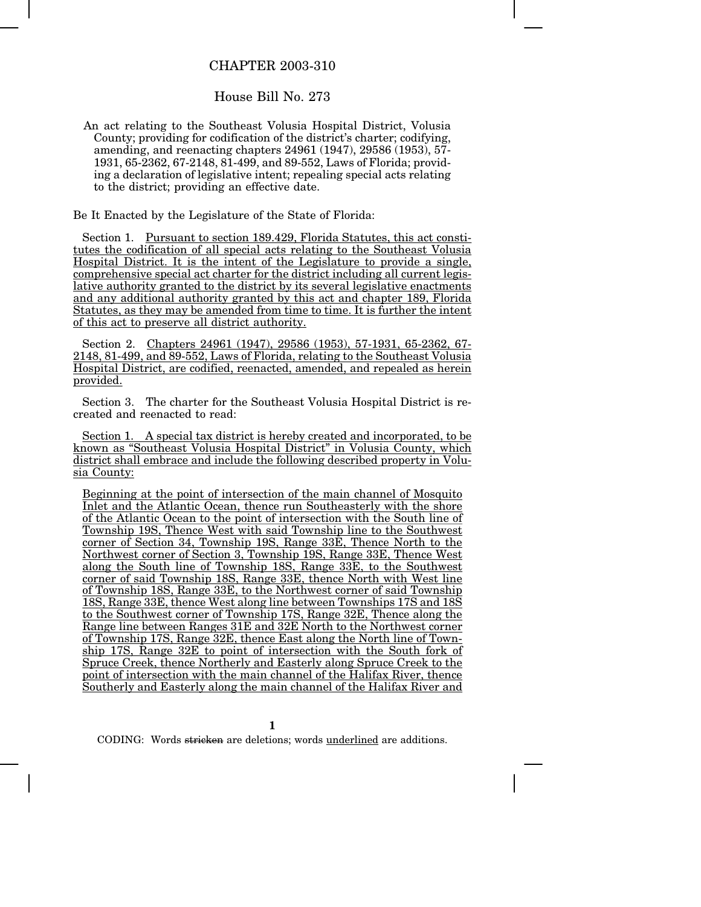## CHAPTER 2003-310

## House Bill No. 273

An act relating to the Southeast Volusia Hospital District, Volusia County; providing for codification of the district's charter; codifying, amending, and reenacting chapters 24961 (1947), 29586 (1953), 57- 1931, 65-2362, 67-2148, 81-499, and 89-552, Laws of Florida; providing a declaration of legislative intent; repealing special acts relating to the district; providing an effective date.

Be It Enacted by the Legislature of the State of Florida:

Section 1. Pursuant to section 189.429, Florida Statutes, this act constitutes the codification of all special acts relating to the Southeast Volusia Hospital District. It is the intent of the Legislature to provide a single, comprehensive special act charter for the district including all current legislative authority granted to the district by its several legislative enactments and any additional authority granted by this act and chapter 189, Florida Statutes, as they may be amended from time to time. It is further the intent of this act to preserve all district authority.

Section 2. Chapters 24961 (1947), 29586 (1953), 57-1931, 65-2362, 67- 2148, 81-499, and 89-552, Laws of Florida, relating to the Southeast Volusia Hospital District, are codified, reenacted, amended, and repealed as herein provided.

Section 3. The charter for the Southeast Volusia Hospital District is recreated and reenacted to read:

Section 1. A special tax district is hereby created and incorporated, to be known as "Southeast Volusia Hospital District" in Volusia County, which district shall embrace and include the following described property in Volusia County:

Beginning at the point of intersection of the main channel of Mosquito Inlet and the Atlantic Ocean, thence run Southeasterly with the shore of the Atlantic Ocean to the point of intersection with the South line of Township 19S, Thence West with said Township line to the Southwest corner of Section 34, Township 19S, Range 33E, Thence North to the Northwest corner of Section 3, Township 19S, Range 33E, Thence West along the South line of Township 18S, Range 33E, to the Southwest corner of said Township 18S, Range 33E, thence North with West line of Township 18S, Range 33E, to the Northwest corner of said Township 18S, Range 33E, thence West along line between Townships 17S and 18S to the Southwest corner of Township 17S, Range 32E, Thence along the Range line between Ranges 31E and 32E North to the Northwest corner of Township 17S, Range 32E, thence East along the North line of Township 17S, Range 32E to point of intersection with the South fork of Spruce Creek, thence Northerly and Easterly along Spruce Creek to the point of intersection with the main channel of the Halifax River, thence Southerly and Easterly along the main channel of the Halifax River and

**1**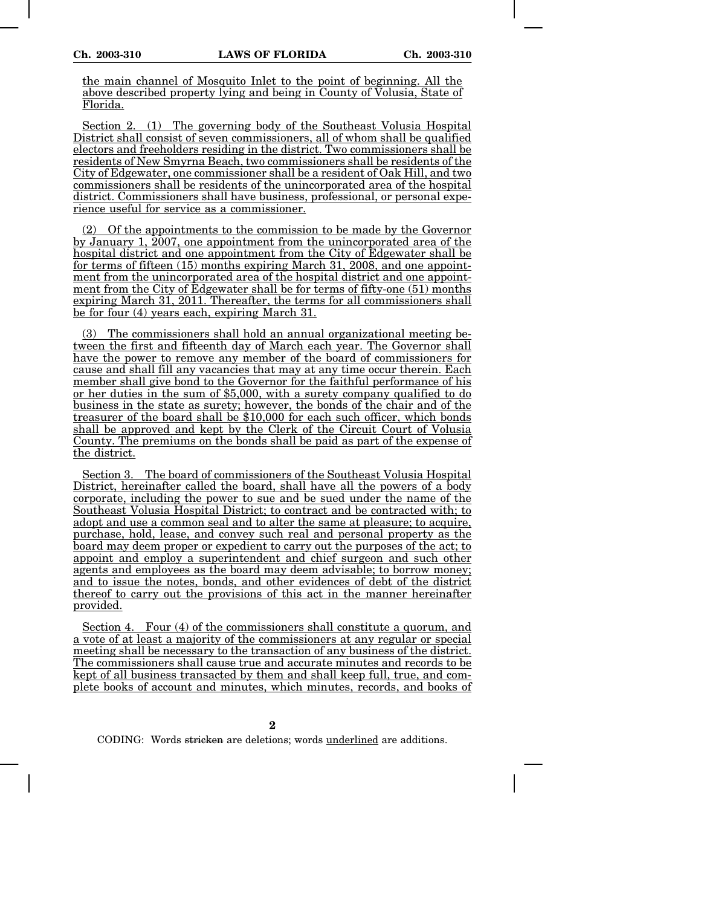the main channel of Mosquito Inlet to the point of beginning. All the above described property lying and being in County of Volusia, State of Florida.

Section 2. (1) The governing body of the Southeast Volusia Hospital District shall consist of seven commissioners, all of whom shall be qualified electors and freeholders residing in the district. Two commissioners shall be residents of New Smyrna Beach, two commissioners shall be residents of the City of Edgewater, one commissioner shall be a resident of Oak Hill, and two commissioners shall be residents of the unincorporated area of the hospital district. Commissioners shall have business, professional, or personal experience useful for service as a commissioner.

(2) Of the appointments to the commission to be made by the Governor by January 1,  $\overline{2007}$ , one appointment from the unincorporated area of the hospital district and one appointment from the City of Edgewater shall be for terms of fifteen (15) months expiring March 31, 2008, and one appointment from the unincorporated area of the hospital district and one appointment from the City of Edgewater shall be for terms of fifty-one (51) months expiring March 31, 2011. Thereafter, the terms for all commissioners shall be for four (4) years each, expiring March 31.

(3) The commissioners shall hold an annual organizational meeting between the first and fifteenth day of March each year. The Governor shall have the power to remove any member of the board of commissioners for cause and shall fill any vacancies that may at any time occur therein. Each member shall give bond to the Governor for the faithful performance of his or her duties in the sum of \$5,000, with a surety company qualified to do business in the state as surety; however, the bonds of the chair and of the treasurer of the board shall be \$10,000 for each such officer, which bonds shall be approved and kept by the Clerk of the Circuit Court of Volusia County. The premiums on the bonds shall be paid as part of the expense of the district.

Section 3. The board of commissioners of the Southeast Volusia Hospital District, hereinafter called the board, shall have all the powers of a body corporate, including the power to sue and be sued under the name of the Southeast Volusia Hospital District; to contract and be contracted with; to adopt and use a common seal and to alter the same at pleasure; to acquire, purchase, hold, lease, and convey such real and personal property as the board may deem proper or expedient to carry out the purposes of the act; to appoint and employ a superintendent and chief surgeon and such other agents and employees as the board may deem advisable; to borrow money; and to issue the notes, bonds, and other evidences of debt of the district thereof to carry out the provisions of this act in the manner hereinafter provided.

Section 4. Four (4) of the commissioners shall constitute a quorum, and a vote of at least a majority of the commissioners at any regular or special meeting shall be necessary to the transaction of any business of the district. The commissioners shall cause true and accurate minutes and records to be kept of all business transacted by them and shall keep full, true, and complete books of account and minutes, which minutes, records, and books of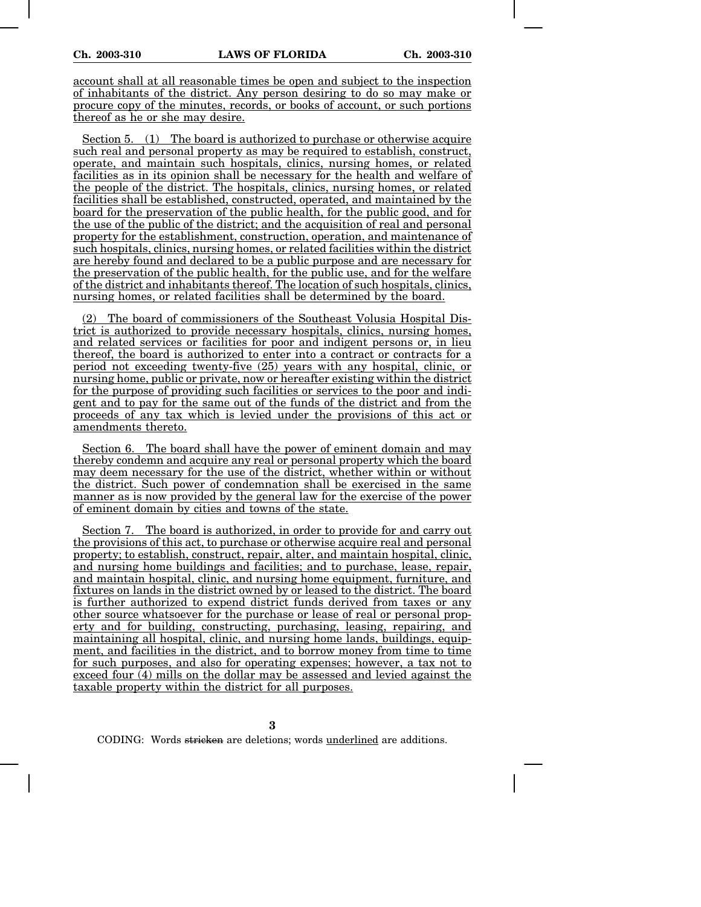account shall at all reasonable times be open and subject to the inspection of inhabitants of the district. Any person desiring to do so may make or procure copy of the minutes, records, or books of account, or such portions thereof as he or she may desire.

Section 5. (1) The board is authorized to purchase or otherwise acquire such real and personal property as may be required to establish, construct, operate, and maintain such hospitals, clinics, nursing homes, or related facilities as in its opinion shall be necessary for the health and welfare of the people of the district. The hospitals, clinics, nursing homes, or related facilities shall be established, constructed, operated, and maintained by the board for the preservation of the public health, for the public good, and for the use of the public of the district; and the acquisition of real and personal property for the establishment, construction, operation, and maintenance of such hospitals, clinics, nursing homes, or related facilities within the district are hereby found and declared to be a public purpose and are necessary for the preservation of the public health, for the public use, and for the welfare of the district and inhabitants thereof. The location of such hospitals, clinics, nursing homes, or related facilities shall be determined by the board.

The board of commissioners of the Southeast Volusia Hospital District is authorized to provide necessary hospitals, clinics, nursing homes, and related services or facilities for poor and indigent persons or, in lieu thereof, the board is authorized to enter into a contract or contracts for a period not exceeding twenty-five (25) years with any hospital, clinic, or nursing home, public or private, now or hereafter existing within the district for the purpose of providing such facilities or services to the poor and indigent and to pay for the same out of the funds of the district and from the proceeds of any tax which is levied under the provisions of this act or amendments thereto.

Section 6. The board shall have the power of eminent domain and may thereby condemn and acquire any real or personal property which the board may deem necessary for the use of the district, whether within or without the district. Such power of condemnation shall be exercised in the same manner as is now provided by the general law for the exercise of the power of eminent domain by cities and towns of the state.

Section 7. The board is authorized, in order to provide for and carry out the provisions of this act, to purchase or otherwise acquire real and personal property; to establish, construct, repair, alter, and maintain hospital, clinic, and nursing home buildings and facilities; and to purchase, lease, repair, and maintain hospital, clinic, and nursing home equipment, furniture, and fixtures on lands in the district owned by or leased to the district. The board is further authorized to expend district funds derived from taxes or any other source whatsoever for the purchase or lease of real or personal property and for building, constructing, purchasing, leasing, repairing, and maintaining all hospital, clinic, and nursing home lands, buildings, equipment, and facilities in the district, and to borrow money from time to time for such purposes, and also for operating expenses; however, a tax not to exceed four (4) mills on the dollar may be assessed and levied against the taxable property within the district for all purposes.

**3**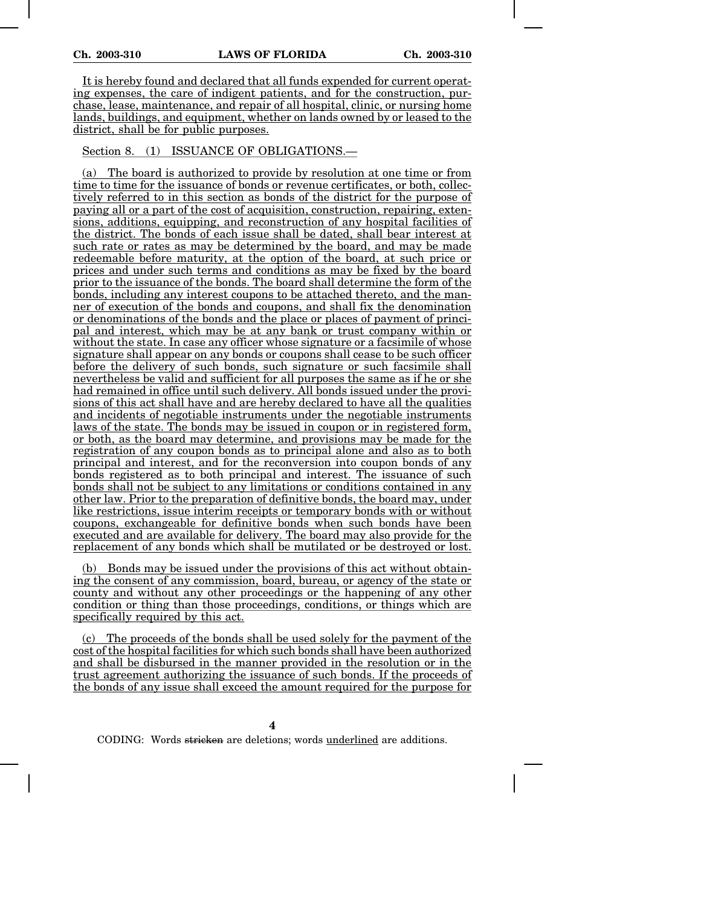It is hereby found and declared that all funds expended for current operating expenses, the care of indigent patients, and for the construction, purchase, lease, maintenance, and repair of all hospital, clinic, or nursing home lands, buildings, and equipment, whether on lands owned by or leased to the district, shall be for public purposes.

## Section 8. (1) ISSUANCE OF OBLIGATIONS.—

(a) The board is authorized to provide by resolution at one time or from time to time for the issuance of bonds or revenue certificates, or both, collectively referred to in this section as bonds of the district for the purpose of paying all or a part of the cost of acquisition, construction, repairing, extensions, additions, equipping, and reconstruction of any hospital facilities of the district. The bonds of each issue shall be dated, shall bear interest at such rate or rates as may be determined by the board, and may be made redeemable before maturity, at the option of the board, at such price or prices and under such terms and conditions as may be fixed by the board prior to the issuance of the bonds. The board shall determine the form of the bonds, including any interest coupons to be attached thereto, and the manner of execution of the bonds and coupons, and shall fix the denomination or denominations of the bonds and the place or places of payment of principal and interest, which may be at any bank or trust company within or without the state. In case any officer whose signature or a facsimile of whose signature shall appear on any bonds or coupons shall cease to be such officer before the delivery of such bonds, such signature or such facsimile shall nevertheless be valid and sufficient for all purposes the same as if he or she had remained in office until such delivery. All bonds issued under the provisions of this act shall have and are hereby declared to have all the qualities and incidents of negotiable instruments under the negotiable instruments laws of the state. The bonds may be issued in coupon or in registered form, or both, as the board may determine, and provisions may be made for the registration of any coupon bonds as to principal alone and also as to both principal and interest, and for the reconversion into coupon bonds of any bonds registered as to both principal and interest. The issuance of such bonds shall not be subject to any limitations or conditions contained in any other law. Prior to the preparation of definitive bonds, the board may, under like restrictions, issue interim receipts or temporary bonds with or without coupons, exchangeable for definitive bonds when such bonds have been executed and are available for delivery. The board may also provide for the replacement of any bonds which shall be mutilated or be destroyed or lost.

(b) Bonds may be issued under the provisions of this act without obtaining the consent of any commission, board, bureau, or agency of the state or county and without any other proceedings or the happening of any other condition or thing than those proceedings, conditions, or things which are specifically required by this act.

(c) The proceeds of the bonds shall be used solely for the payment of the cost of the hospital facilities for which such bonds shall have been authorized and shall be disbursed in the manner provided in the resolution or in the trust agreement authorizing the issuance of such bonds. If the proceeds of the bonds of any issue shall exceed the amount required for the purpose for

**4**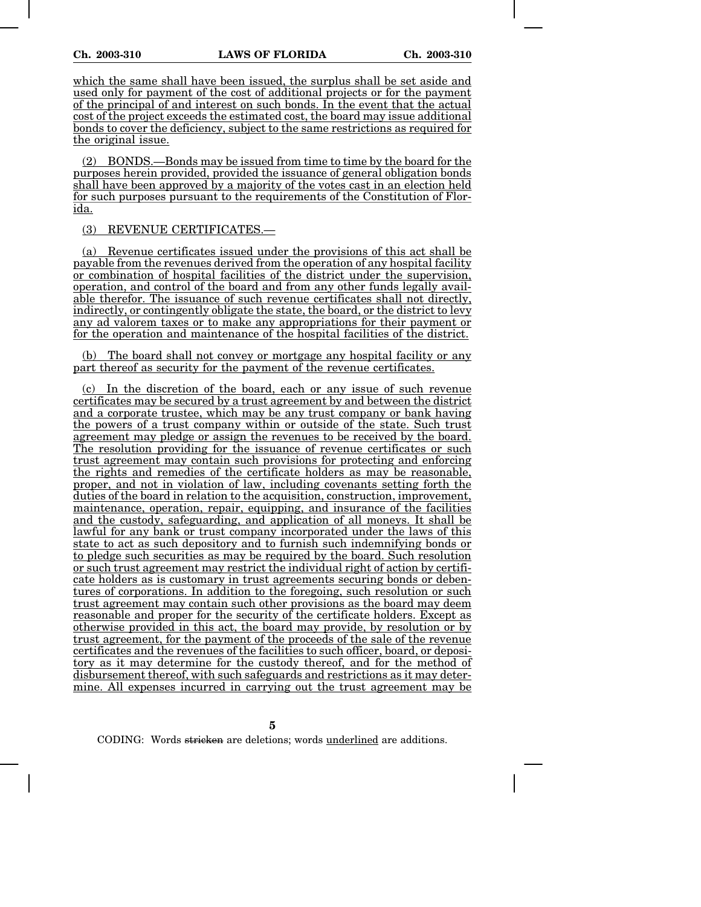which the same shall have been issued, the surplus shall be set aside and used only for payment of the cost of additional projects or for the payment of the principal of and interest on such bonds. In the event that the actual cost of the project exceeds the estimated cost, the board may issue additional bonds to cover the deficiency, subject to the same restrictions as required for the original issue.

(2) BONDS.—Bonds may be issued from time to time by the board for the purposes herein provided, provided the issuance of general obligation bonds shall have been approved by a majority of the votes cast in an election held for such purposes pursuant to the requirements of the Constitution of Florida.

## (3) REVENUE CERTIFICATES.—

(a) Revenue certificates issued under the provisions of this act shall be payable from the revenues derived from the operation of any hospital facility or combination of hospital facilities of the district under the supervision, operation, and control of the board and from any other funds legally available therefor. The issuance of such revenue certificates shall not directly, indirectly, or contingently obligate the state, the board, or the district to levy any ad valorem taxes or to make any appropriations for their payment or for the operation and maintenance of the hospital facilities of the district.

(b) The board shall not convey or mortgage any hospital facility or any part thereof as security for the payment of the revenue certificates.

(c) In the discretion of the board, each or any issue of such revenue certificates may be secured by a trust agreement by and between the district and a corporate trustee, which may be any trust company or bank having the powers of a trust company within or outside of the state. Such trust agreement may pledge or assign the revenues to be received by the board. The resolution providing for the issuance of revenue certificates or such trust agreement may contain such provisions for protecting and enforcing the rights and remedies of the certificate holders as may be reasonable, proper, and not in violation of law, including covenants setting forth the duties of the board in relation to the acquisition, construction, improvement, maintenance, operation, repair, equipping, and insurance of the facilities and the custody, safeguarding, and application of all moneys. It shall be lawful for any bank or trust company incorporated under the laws of this state to act as such depository and to furnish such indemnifying bonds or to pledge such securities as may be required by the board. Such resolution or such trust agreement may restrict the individual right of action by certificate holders as is customary in trust agreements securing bonds or debentures of corporations. In addition to the foregoing, such resolution or such trust agreement may contain such other provisions as the board may deem reasonable and proper for the security of the certificate holders. Except as otherwise provided in this act, the board may provide, by resolution or by trust agreement, for the payment of the proceeds of the sale of the revenue certificates and the revenues of the facilities to such officer, board, or depository as it may determine for the custody thereof, and for the method of disbursement thereof, with such safeguards and restrictions as it may determine. All expenses incurred in carrying out the trust agreement may be

**5**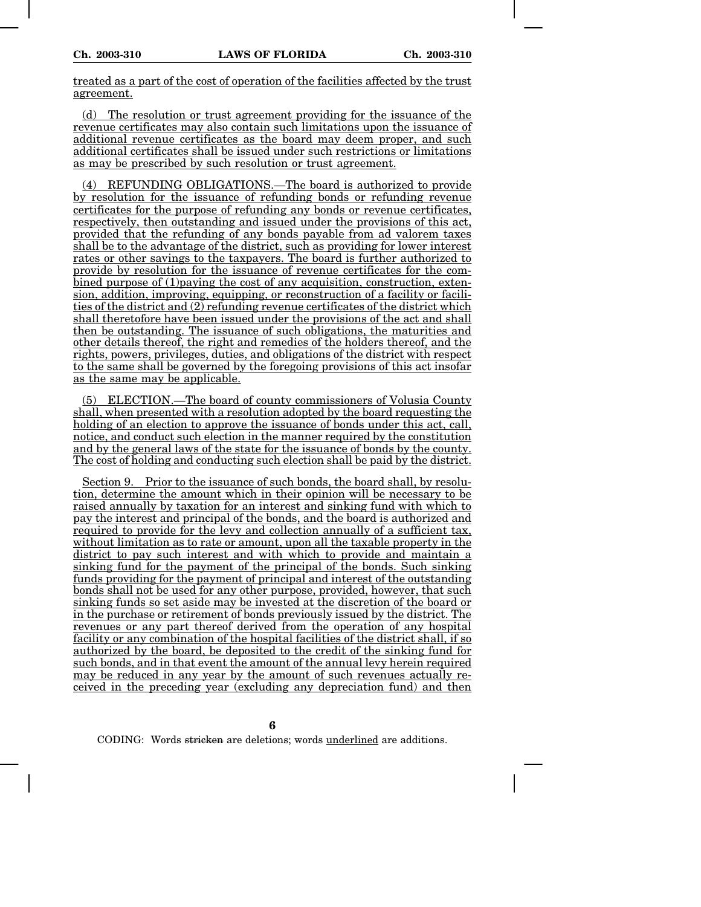treated as a part of the cost of operation of the facilities affected by the trust agreement.

(d) The resolution or trust agreement providing for the issuance of the revenue certificates may also contain such limitations upon the issuance of additional revenue certificates as the board may deem proper, and such additional certificates shall be issued under such restrictions or limitations as may be prescribed by such resolution or trust agreement.

(4) REFUNDING OBLIGATIONS.—The board is authorized to provide by resolution for the issuance of refunding bonds or refunding revenue certificates for the purpose of refunding any bonds or revenue certificates, respectively, then outstanding and issued under the provisions of this act, provided that the refunding of any bonds payable from ad valorem taxes shall be to the advantage of the district, such as providing for lower interest rates or other savings to the taxpayers. The board is further authorized to provide by resolution for the issuance of revenue certificates for the combined purpose of (1)paying the cost of any acquisition, construction, extension, addition, improving, equipping, or reconstruction of a facility or facilities of the district and (2) refunding revenue certificates of the district which shall theretofore have been issued under the provisions of the act and shall then be outstanding. The issuance of such obligations, the maturities and other details thereof, the right and remedies of the holders thereof, and the rights, powers, privileges, duties, and obligations of the district with respect to the same shall be governed by the foregoing provisions of this act insofar as the same may be applicable.

(5) ELECTION.—The board of county commissioners of Volusia County shall, when presented with a resolution adopted by the board requesting the holding of an election to approve the issuance of bonds under this act, call, notice, and conduct such election in the manner required by the constitution and by the general laws of the state for the issuance of bonds by the county. The cost of holding and conducting such election shall be paid by the district.

Section 9. Prior to the issuance of such bonds, the board shall, by resolution, determine the amount which in their opinion will be necessary to be raised annually by taxation for an interest and sinking fund with which to pay the interest and principal of the bonds, and the board is authorized and required to provide for the levy and collection annually of a sufficient tax, without limitation as to rate or amount, upon all the taxable property in the district to pay such interest and with which to provide and maintain a sinking fund for the payment of the principal of the bonds. Such sinking funds providing for the payment of principal and interest of the outstanding bonds shall not be used for any other purpose, provided, however, that such sinking funds so set aside may be invested at the discretion of the board or in the purchase or retirement of bonds previously issued by the district. The revenues or any part thereof derived from the operation of any hospital facility or any combination of the hospital facilities of the district shall, if so authorized by the board, be deposited to the credit of the sinking fund for such bonds, and in that event the amount of the annual levy herein required may be reduced in any year by the amount of such revenues actually received in the preceding year (excluding any depreciation fund) and then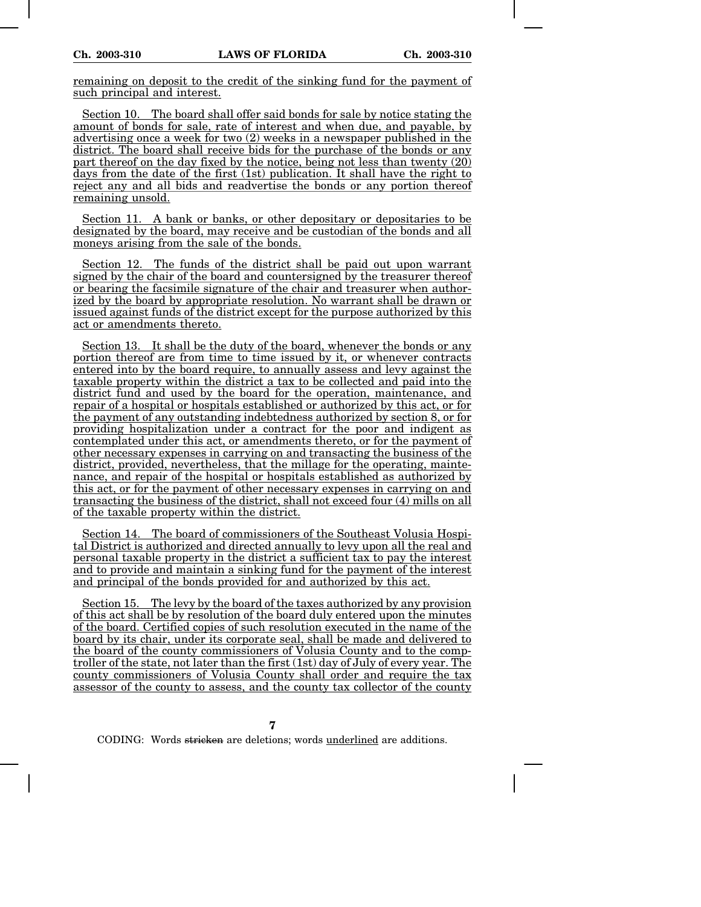remaining on deposit to the credit of the sinking fund for the payment of such principal and interest.

Section 10. The board shall offer said bonds for sale by notice stating the amount of bonds for sale, rate of interest and when due, and payable, by advertising once a week for two (2) weeks in a newspaper published in the district. The board shall receive bids for the purchase of the bonds or any part thereof on the day fixed by the notice, being not less than twenty (20) days from the date of the first (1st) publication. It shall have the right to reject any and all bids and readvertise the bonds or any portion thereof remaining unsold.

Section 11. A bank or banks, or other depositary or depositaries to be designated by the board, may receive and be custodian of the bonds and all moneys arising from the sale of the bonds.

Section 12. The funds of the district shall be paid out upon warrant signed by the chair of the board and countersigned by the treasurer thereof or bearing the facsimile signature of the chair and treasurer when authorized by the board by appropriate resolution. No warrant shall be drawn or issued against funds of the district except for the purpose authorized by this act or amendments thereto.

Section 13. It shall be the duty of the board, whenever the bonds or any portion thereof are from time to time issued by it, or whenever contracts entered into by the board require, to annually assess and levy against the taxable property within the district a tax to be collected and paid into the district fund and used by the board for the operation, maintenance, and repair of a hospital or hospitals established or authorized by this act, or for the payment of any outstanding indebtedness authorized by section 8, or for providing hospitalization under a contract for the poor and indigent as contemplated under this act, or amendments thereto, or for the payment of other necessary expenses in carrying on and transacting the business of the district, provided, nevertheless, that the millage for the operating, maintenance, and repair of the hospital or hospitals established as authorized by this act, or for the payment of other necessary expenses in carrying on and transacting the business of the district, shall not exceed four (4) mills on all of the taxable property within the district.

Section 14. The board of commissioners of the Southeast Volusia Hospital District is authorized and directed annually to levy upon all the real and personal taxable property in the district a sufficient tax to pay the interest and to provide and maintain a sinking fund for the payment of the interest and principal of the bonds provided for and authorized by this act.

Section 15. The levy by the board of the taxes authorized by any provision of this act shall be by resolution of the board duly entered upon the minutes of the board. Certified copies of such resolution executed in the name of the board by its chair, under its corporate seal, shall be made and delivered to the board of the county commissioners of Volusia County and to the comptroller of the state, not later than the first (1st) day of July of every year. The county commissioners of Volusia County shall order and require the tax assessor of the county to assess, and the county tax collector of the county

**7**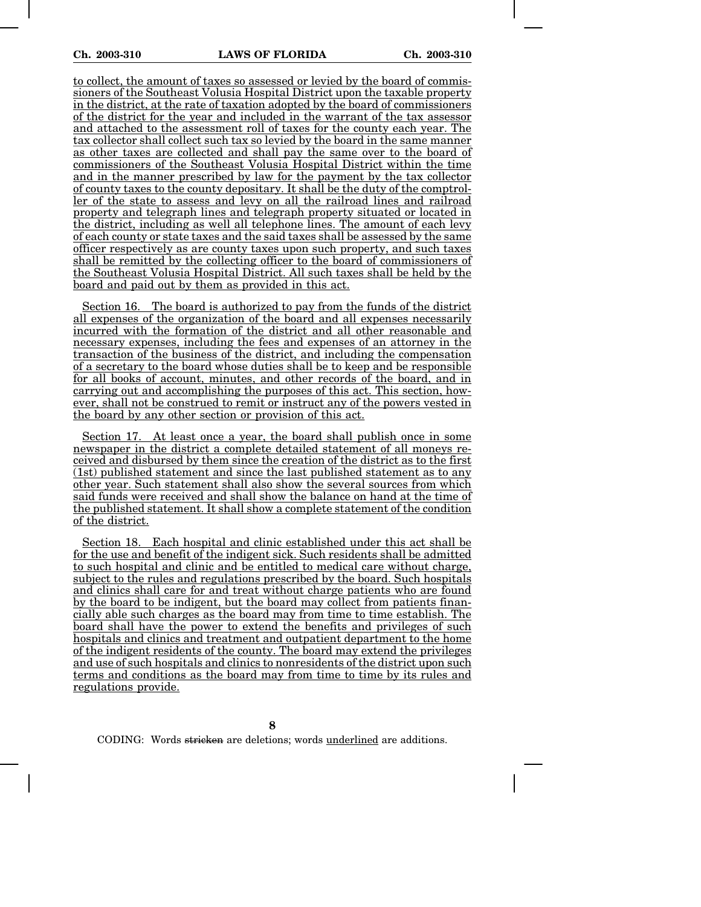to collect, the amount of taxes so assessed or levied by the board of commissioners of the Southeast Volusia Hospital District upon the taxable property in the district, at the rate of taxation adopted by the board of commissioners of the district for the year and included in the warrant of the tax assessor and attached to the assessment roll of taxes for the county each year. The tax collector shall collect such tax so levied by the board in the same manner as other taxes are collected and shall pay the same over to the board of commissioners of the Southeast Volusia Hospital District within the time and in the manner prescribed by law for the payment by the tax collector of county taxes to the county depositary. It shall be the duty of the comptroller of the state to assess and levy on all the railroad lines and railroad property and telegraph lines and telegraph property situated or located in the district, including as well all telephone lines. The amount of each levy of each county or state taxes and the said taxes shall be assessed by the same officer respectively as are county taxes upon such property, and such taxes shall be remitted by the collecting officer to the board of commissioners of the Southeast Volusia Hospital District. All such taxes shall be held by the board and paid out by them as provided in this act.

Section 16. The board is authorized to pay from the funds of the district all expenses of the organization of the board and all expenses necessarily incurred with the formation of the district and all other reasonable and necessary expenses, including the fees and expenses of an attorney in the transaction of the business of the district, and including the compensation of a secretary to the board whose duties shall be to keep and be responsible for all books of account, minutes, and other records of the board, and in carrying out and accomplishing the purposes of this act. This section, however, shall not be construed to remit or instruct any of the powers vested in the board by any other section or provision of this act.

Section 17. At least once a year, the board shall publish once in some newspaper in the district a complete detailed statement of all moneys received and disbursed by them since the creation of the district as to the first (1st) published statement and since the last published statement as to any other year. Such statement shall also show the several sources from which said funds were received and shall show the balance on hand at the time of the published statement. It shall show a complete statement of the condition of the district.

Section 18. Each hospital and clinic established under this act shall be for the use and benefit of the indigent sick. Such residents shall be admitted to such hospital and clinic and be entitled to medical care without charge, subject to the rules and regulations prescribed by the board. Such hospitals and clinics shall care for and treat without charge patients who are found by the board to be indigent, but the board may collect from patients financially able such charges as the board may from time to time establish. The board shall have the power to extend the benefits and privileges of such hospitals and clinics and treatment and outpatient department to the home of the indigent residents of the county. The board may extend the privileges and use of such hospitals and clinics to nonresidents of the district upon such terms and conditions as the board may from time to time by its rules and regulations provide.

**8**